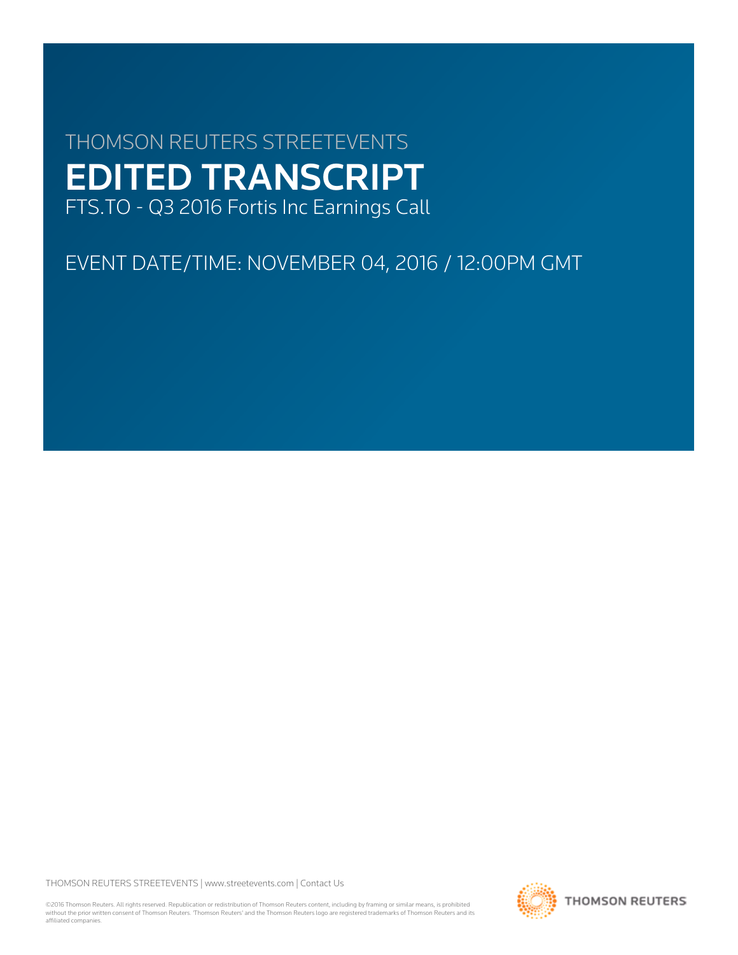# THOMSON REUTERS STREETEVENTS EDITED TRANSCRIPT FTS.TO - Q3 2016 Fortis Inc Earnings Call

EVENT DATE/TIME: NOVEMBER 04, 2016 / 12:00PM GMT

THOMSON REUTERS STREETEVENTS | [www.streetevents.com](http://www.streetevents.com) | [Contact Us](http://www010.streetevents.com/contact.asp)

©2016 Thomson Reuters. All rights reserved. Republication or redistribution of Thomson Reuters content, including by framing or similar means, is prohibited without the prior written consent of Thomson Reuters. 'Thomson Reuters' and the Thomson Reuters logo are registered trademarks of Thomson Reuters and its affiliated companies.

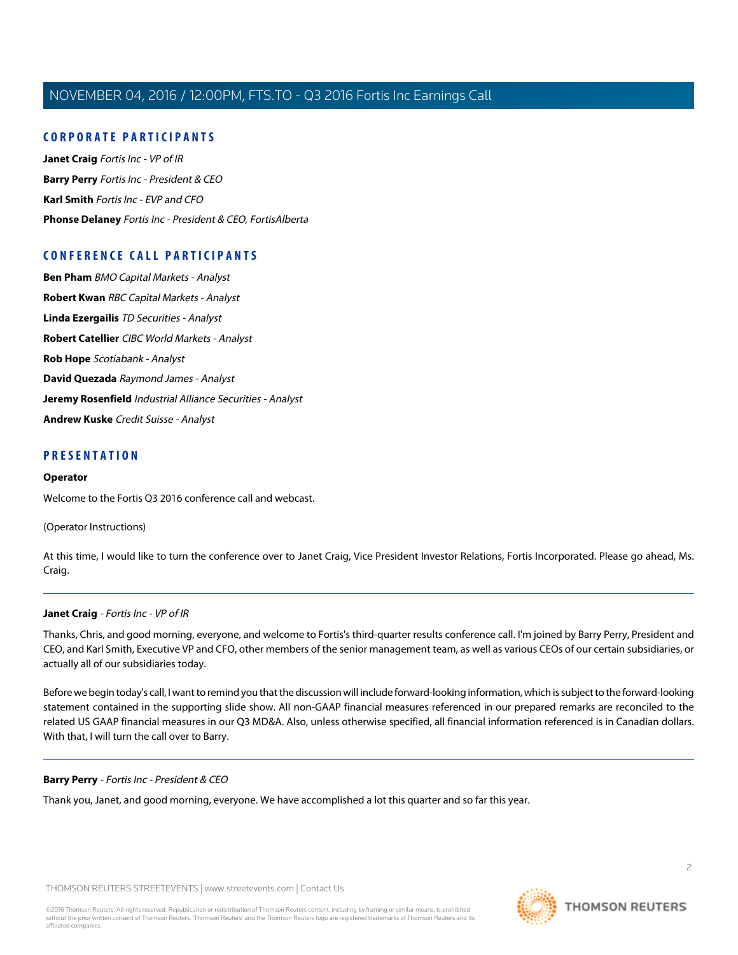## **CORPORATE PARTICIPANTS**

**[Janet Craig](#page-1-0)** Fortis Inc - VP of IR **[Barry Perry](#page-1-1)** Fortis Inc - President & CEO **[Karl Smith](#page-3-0)** Fortis Inc - EVP and CFO **[Phonse Delaney](#page-12-0)** Fortis Inc - President & CEO, FortisAlberta

## **CONFERENCE CALL PARTICIPANTS**

**[Ben Pham](#page-6-0)** BMO Capital Markets - Analyst **[Robert Kwan](#page-7-0)** RBC Capital Markets - Analyst **[Linda Ezergailis](#page-8-0)** TD Securities - Analyst **[Robert Catellier](#page-9-0)** CIBC World Markets - Analyst **[Rob Hope](#page-11-0)** Scotiabank - Analyst **[David Quezada](#page-12-1)** Raymond James - Analyst **[Jeremy Rosenfield](#page-13-0)** Industrial Alliance Securities - Analyst **[Andrew Kuske](#page-13-1)** Credit Suisse - Analyst

#### **PRESENTATION**

#### **Operator**

Welcome to the Fortis Q3 2016 conference call and webcast.

(Operator Instructions)

<span id="page-1-0"></span>At this time, I would like to turn the conference over to Janet Craig, Vice President Investor Relations, Fortis Incorporated. Please go ahead, Ms. Craig.

#### **Janet Craig** - Fortis Inc - VP of IR

Thanks, Chris, and good morning, everyone, and welcome to Fortis's third-quarter results conference call. I'm joined by Barry Perry, President and CEO, and Karl Smith, Executive VP and CFO, other members of the senior management team, as well as various CEOs of our certain subsidiaries, or actually all of our subsidiaries today.

<span id="page-1-1"></span>Before we begin today's call, I want to remind you that the discussion will include forward-looking information, which is subject to the forward-looking statement contained in the supporting slide show. All non-GAAP financial measures referenced in our prepared remarks are reconciled to the related US GAAP financial measures in our Q3 MD&A. Also, unless otherwise specified, all financial information referenced is in Canadian dollars. With that, I will turn the call over to Barry.

#### **Barry Perry** - Fortis Inc - President & CEO

Thank you, Janet, and good morning, everyone. We have accomplished a lot this quarter and so far this year.

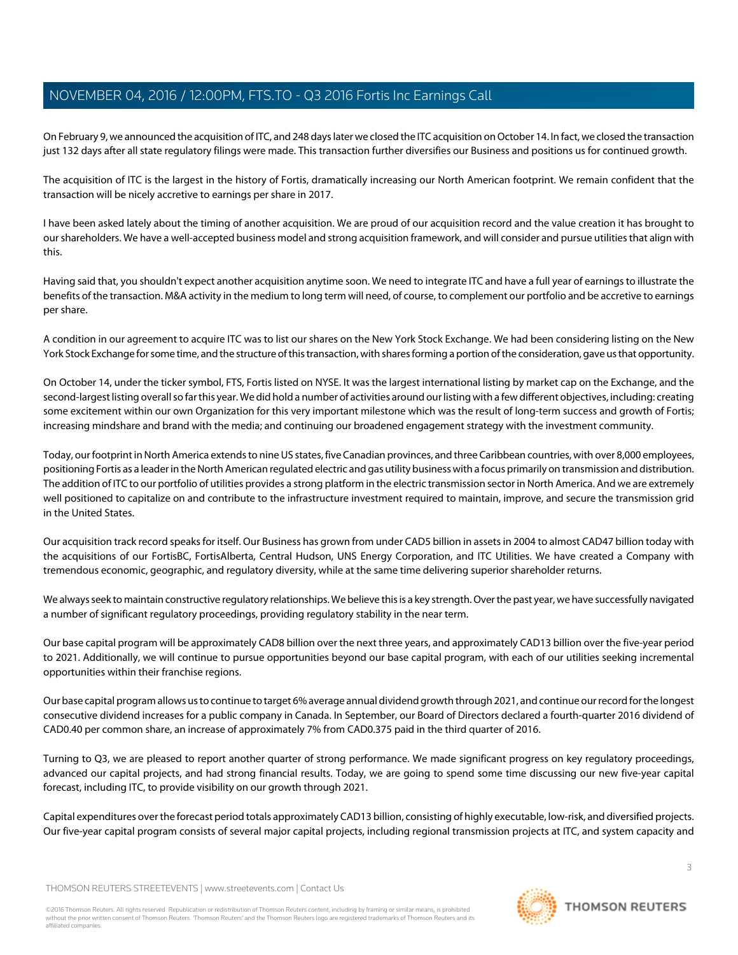On February 9, we announced the acquisition of ITC, and 248 days later we closed the ITC acquisition on October 14. In fact, we closed the transaction just 132 days after all state regulatory filings were made. This transaction further diversifies our Business and positions us for continued growth.

The acquisition of ITC is the largest in the history of Fortis, dramatically increasing our North American footprint. We remain confident that the transaction will be nicely accretive to earnings per share in 2017.

I have been asked lately about the timing of another acquisition. We are proud of our acquisition record and the value creation it has brought to our shareholders. We have a well-accepted business model and strong acquisition framework, and will consider and pursue utilities that align with this.

Having said that, you shouldn't expect another acquisition anytime soon. We need to integrate ITC and have a full year of earnings to illustrate the benefits of the transaction. M&A activity in the medium to long term will need, of course, to complement our portfolio and be accretive to earnings per share.

A condition in our agreement to acquire ITC was to list our shares on the New York Stock Exchange. We had been considering listing on the New York Stock Exchange for some time, and the structure of this transaction, with shares forming a portion of the consideration, gave us that opportunity.

On October 14, under the ticker symbol, FTS, Fortis listed on NYSE. It was the largest international listing by market cap on the Exchange, and the second-largest listing overall so far this year. We did hold a number of activities around our listing with a few different objectives, including: creating some excitement within our own Organization for this very important milestone which was the result of long-term success and growth of Fortis; increasing mindshare and brand with the media; and continuing our broadened engagement strategy with the investment community.

Today, our footprint in North America extends to nine US states, five Canadian provinces, and three Caribbean countries, with over 8,000 employees, positioning Fortis as a leader in the North American regulated electric and gas utility business with a focus primarily on transmission and distribution. The addition of ITC to our portfolio of utilities provides a strong platform in the electric transmission sector in North America. And we are extremely well positioned to capitalize on and contribute to the infrastructure investment required to maintain, improve, and secure the transmission grid in the United States.

Our acquisition track record speaks for itself. Our Business has grown from under CAD5 billion in assets in 2004 to almost CAD47 billion today with the acquisitions of our FortisBC, FortisAlberta, Central Hudson, UNS Energy Corporation, and ITC Utilities. We have created a Company with tremendous economic, geographic, and regulatory diversity, while at the same time delivering superior shareholder returns.

We always seek to maintain constructive regulatory relationships. We believe this is a key strength. Over the past year, we have successfully navigated a number of significant regulatory proceedings, providing regulatory stability in the near term.

Our base capital program will be approximately CAD8 billion over the next three years, and approximately CAD13 billion over the five-year period to 2021. Additionally, we will continue to pursue opportunities beyond our base capital program, with each of our utilities seeking incremental opportunities within their franchise regions.

Our base capital program allows us to continue to target 6% average annual dividend growth through 2021, and continue our record for the longest consecutive dividend increases for a public company in Canada. In September, our Board of Directors declared a fourth-quarter 2016 dividend of CAD0.40 per common share, an increase of approximately 7% from CAD0.375 paid in the third quarter of 2016.

Turning to Q3, we are pleased to report another quarter of strong performance. We made significant progress on key regulatory proceedings, advanced our capital projects, and had strong financial results. Today, we are going to spend some time discussing our new five-year capital forecast, including ITC, to provide visibility on our growth through 2021.

Capital expenditures over the forecast period totals approximately CAD13 billion, consisting of highly executable, low-risk, and diversified projects. Our five-year capital program consists of several major capital projects, including regional transmission projects at ITC, and system capacity and

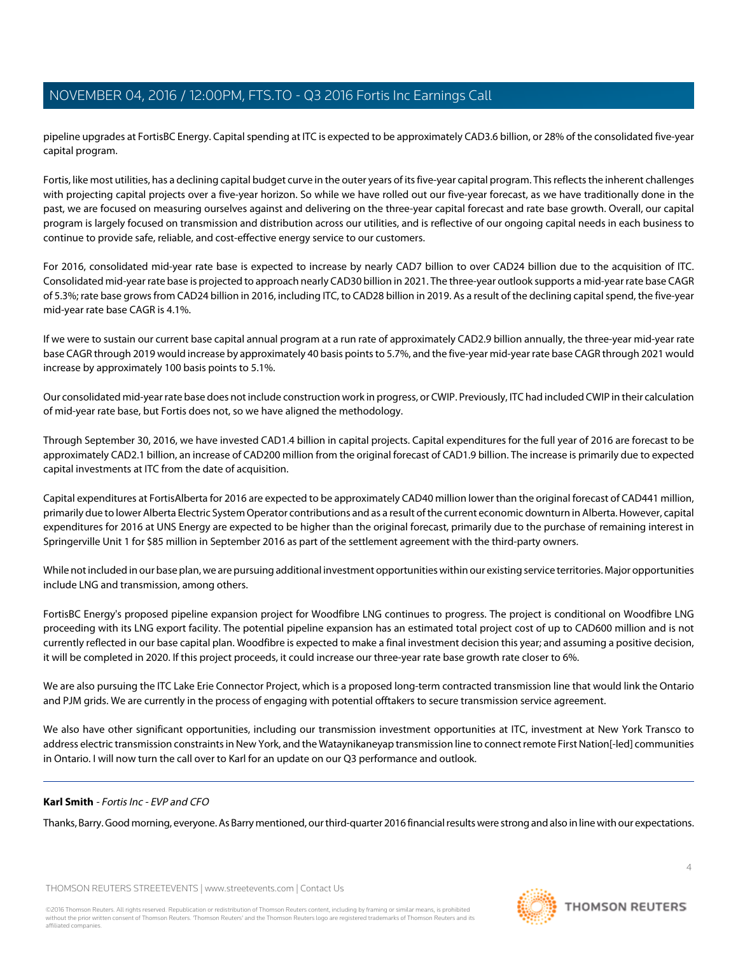pipeline upgrades at FortisBC Energy. Capital spending at ITC is expected to be approximately CAD3.6 billion, or 28% of the consolidated five-year capital program.

Fortis, like most utilities, has a declining capital budget curve in the outer years of its five-year capital program. This reflects the inherent challenges with projecting capital projects over a five-year horizon. So while we have rolled out our five-year forecast, as we have traditionally done in the past, we are focused on measuring ourselves against and delivering on the three-year capital forecast and rate base growth. Overall, our capital program is largely focused on transmission and distribution across our utilities, and is reflective of our ongoing capital needs in each business to continue to provide safe, reliable, and cost-effective energy service to our customers.

For 2016, consolidated mid-year rate base is expected to increase by nearly CAD7 billion to over CAD24 billion due to the acquisition of ITC. Consolidated mid-year rate base is projected to approach nearly CAD30 billion in 2021. The three-year outlook supports a mid-year rate base CAGR of 5.3%; rate base grows from CAD24 billion in 2016, including ITC, to CAD28 billion in 2019. As a result of the declining capital spend, the five-year mid-year rate base CAGR is 4.1%.

If we were to sustain our current base capital annual program at a run rate of approximately CAD2.9 billion annually, the three-year mid-year rate base CAGR through 2019 would increase by approximately 40 basis points to 5.7%, and the five-year mid-year rate base CAGR through 2021 would increase by approximately 100 basis points to 5.1%.

Our consolidated mid-year rate base does not include construction work in progress, or CWIP. Previously, ITC had included CWIP in their calculation of mid-year rate base, but Fortis does not, so we have aligned the methodology.

Through September 30, 2016, we have invested CAD1.4 billion in capital projects. Capital expenditures for the full year of 2016 are forecast to be approximately CAD2.1 billion, an increase of CAD200 million from the original forecast of CAD1.9 billion. The increase is primarily due to expected capital investments at ITC from the date of acquisition.

Capital expenditures at FortisAlberta for 2016 are expected to be approximately CAD40 million lower than the original forecast of CAD441 million, primarily due to lower Alberta Electric System Operator contributions and as a result of the current economic downturn in Alberta. However, capital expenditures for 2016 at UNS Energy are expected to be higher than the original forecast, primarily due to the purchase of remaining interest in Springerville Unit 1 for \$85 million in September 2016 as part of the settlement agreement with the third-party owners.

While not included in our base plan, we are pursuing additional investment opportunities within our existing service territories. Major opportunities include LNG and transmission, among others.

FortisBC Energy's proposed pipeline expansion project for Woodfibre LNG continues to progress. The project is conditional on Woodfibre LNG proceeding with its LNG export facility. The potential pipeline expansion has an estimated total project cost of up to CAD600 million and is not currently reflected in our base capital plan. Woodfibre is expected to make a final investment decision this year; and assuming a positive decision, it will be completed in 2020. If this project proceeds, it could increase our three-year rate base growth rate closer to 6%.

We are also pursuing the ITC Lake Erie Connector Project, which is a proposed long-term contracted transmission line that would link the Ontario and PJM grids. We are currently in the process of engaging with potential offtakers to secure transmission service agreement.

<span id="page-3-0"></span>We also have other significant opportunities, including our transmission investment opportunities at ITC, investment at New York Transco to address electric transmission constraints in New York, and the Wataynikaneyap transmission line to connect remote First Nation[-led] communities in Ontario. I will now turn the call over to Karl for an update on our Q3 performance and outlook.

#### **Karl Smith** - Fortis Inc - EVP and CFO

Thanks, Barry. Good morning, everyone. As Barry mentioned, our third-quarter 2016 financial results were strong and also in line with our expectations.

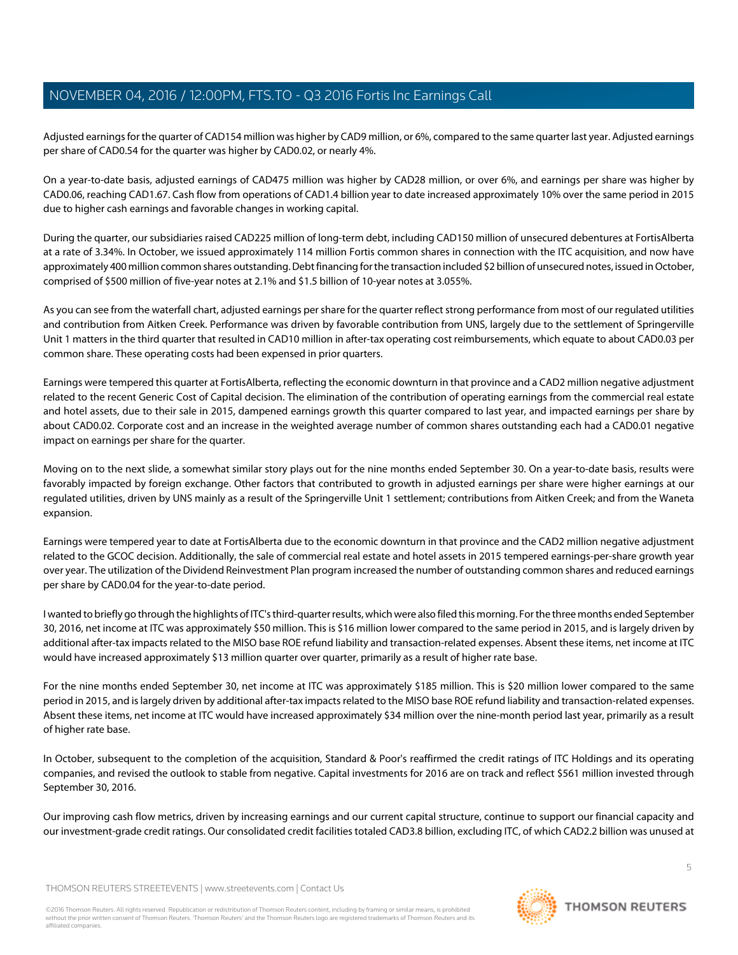Adjusted earnings for the quarter of CAD154 million was higher by CAD9 million, or 6%, compared to the same quarter last year. Adjusted earnings per share of CAD0.54 for the quarter was higher by CAD0.02, or nearly 4%.

On a year-to-date basis, adjusted earnings of CAD475 million was higher by CAD28 million, or over 6%, and earnings per share was higher by CAD0.06, reaching CAD1.67. Cash flow from operations of CAD1.4 billion year to date increased approximately 10% over the same period in 2015 due to higher cash earnings and favorable changes in working capital.

During the quarter, our subsidiaries raised CAD225 million of long-term debt, including CAD150 million of unsecured debentures at FortisAlberta at a rate of 3.34%. In October, we issued approximately 114 million Fortis common shares in connection with the ITC acquisition, and now have approximately 400 million common shares outstanding. Debt financing for the transaction included \$2 billion of unsecured notes, issued in October, comprised of \$500 million of five-year notes at 2.1% and \$1.5 billion of 10-year notes at 3.055%.

As you can see from the waterfall chart, adjusted earnings per share for the quarter reflect strong performance from most of our regulated utilities and contribution from Aitken Creek. Performance was driven by favorable contribution from UNS, largely due to the settlement of Springerville Unit 1 matters in the third quarter that resulted in CAD10 million in after-tax operating cost reimbursements, which equate to about CAD0.03 per common share. These operating costs had been expensed in prior quarters.

Earnings were tempered this quarter at FortisAlberta, reflecting the economic downturn in that province and a CAD2 million negative adjustment related to the recent Generic Cost of Capital decision. The elimination of the contribution of operating earnings from the commercial real estate and hotel assets, due to their sale in 2015, dampened earnings growth this quarter compared to last year, and impacted earnings per share by about CAD0.02. Corporate cost and an increase in the weighted average number of common shares outstanding each had a CAD0.01 negative impact on earnings per share for the quarter.

Moving on to the next slide, a somewhat similar story plays out for the nine months ended September 30. On a year-to-date basis, results were favorably impacted by foreign exchange. Other factors that contributed to growth in adjusted earnings per share were higher earnings at our regulated utilities, driven by UNS mainly as a result of the Springerville Unit 1 settlement; contributions from Aitken Creek; and from the Waneta expansion.

Earnings were tempered year to date at FortisAlberta due to the economic downturn in that province and the CAD2 million negative adjustment related to the GCOC decision. Additionally, the sale of commercial real estate and hotel assets in 2015 tempered earnings-per-share growth year over year. The utilization of the Dividend Reinvestment Plan program increased the number of outstanding common shares and reduced earnings per share by CAD0.04 for the year-to-date period.

I wanted to briefly go through the highlights of ITC's third-quarter results, which were also filed this morning. For the three months ended September 30, 2016, net income at ITC was approximately \$50 million. This is \$16 million lower compared to the same period in 2015, and is largely driven by additional after-tax impacts related to the MISO base ROE refund liability and transaction-related expenses. Absent these items, net income at ITC would have increased approximately \$13 million quarter over quarter, primarily as a result of higher rate base.

For the nine months ended September 30, net income at ITC was approximately \$185 million. This is \$20 million lower compared to the same period in 2015, and is largely driven by additional after-tax impacts related to the MISO base ROE refund liability and transaction-related expenses. Absent these items, net income at ITC would have increased approximately \$34 million over the nine-month period last year, primarily as a result of higher rate base.

In October, subsequent to the completion of the acquisition, Standard & Poor's reaffirmed the credit ratings of ITC Holdings and its operating companies, and revised the outlook to stable from negative. Capital investments for 2016 are on track and reflect \$561 million invested through September 30, 2016.

Our improving cash flow metrics, driven by increasing earnings and our current capital structure, continue to support our financial capacity and our investment-grade credit ratings. Our consolidated credit facilities totaled CAD3.8 billion, excluding ITC, of which CAD2.2 billion was unused at

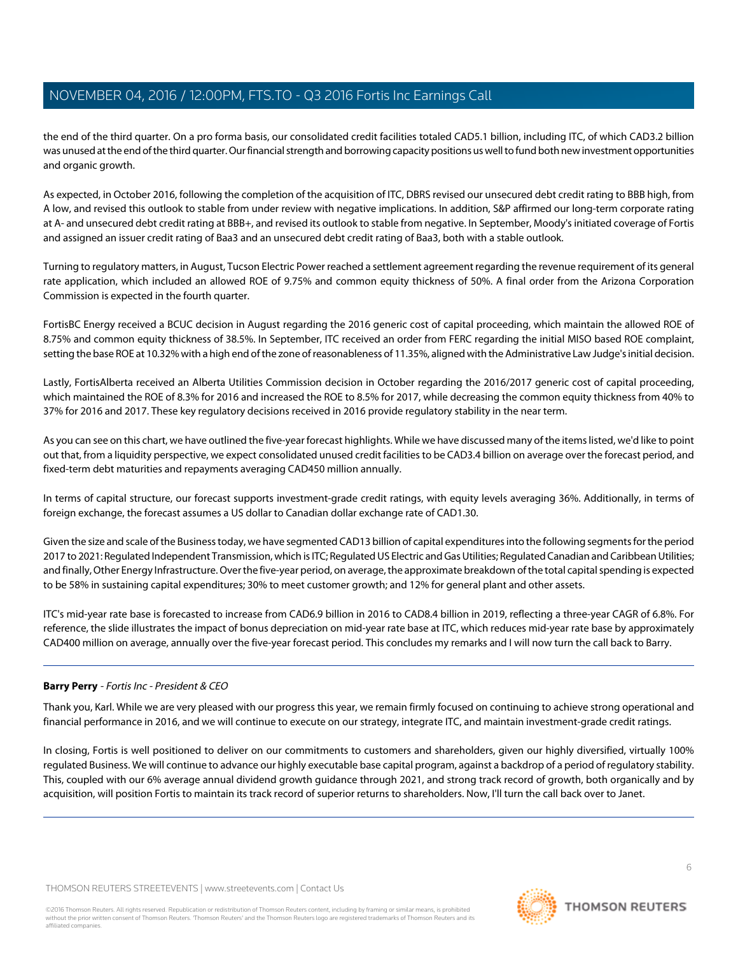the end of the third quarter. On a pro forma basis, our consolidated credit facilities totaled CAD5.1 billion, including ITC, of which CAD3.2 billion was unused at the end of the third quarter. Our financial strength and borrowing capacity positions us well to fund both new investment opportunities and organic growth.

As expected, in October 2016, following the completion of the acquisition of ITC, DBRS revised our unsecured debt credit rating to BBB high, from A low, and revised this outlook to stable from under review with negative implications. In addition, S&P affirmed our long-term corporate rating at A- and unsecured debt credit rating at BBB+, and revised its outlook to stable from negative. In September, Moody's initiated coverage of Fortis and assigned an issuer credit rating of Baa3 and an unsecured debt credit rating of Baa3, both with a stable outlook.

Turning to regulatory matters, in August, Tucson Electric Power reached a settlement agreement regarding the revenue requirement of its general rate application, which included an allowed ROE of 9.75% and common equity thickness of 50%. A final order from the Arizona Corporation Commission is expected in the fourth quarter.

FortisBC Energy received a BCUC decision in August regarding the 2016 generic cost of capital proceeding, which maintain the allowed ROE of 8.75% and common equity thickness of 38.5%. In September, ITC received an order from FERC regarding the initial MISO based ROE complaint, setting the base ROE at 10.32% with a high end of the zone of reasonableness of 11.35%, aligned with the Administrative Law Judge's initial decision.

Lastly, FortisAlberta received an Alberta Utilities Commission decision in October regarding the 2016/2017 generic cost of capital proceeding, which maintained the ROE of 8.3% for 2016 and increased the ROE to 8.5% for 2017, while decreasing the common equity thickness from 40% to 37% for 2016 and 2017. These key regulatory decisions received in 2016 provide regulatory stability in the near term.

As you can see on this chart, we have outlined the five-year forecast highlights. While we have discussed many of the items listed, we'd like to point out that, from a liquidity perspective, we expect consolidated unused credit facilities to be CAD3.4 billion on average over the forecast period, and fixed-term debt maturities and repayments averaging CAD450 million annually.

In terms of capital structure, our forecast supports investment-grade credit ratings, with equity levels averaging 36%. Additionally, in terms of foreign exchange, the forecast assumes a US dollar to Canadian dollar exchange rate of CAD1.30.

Given the size and scale of the Business today, we have segmented CAD13 billion of capital expenditures into the following segments for the period 2017 to 2021: Regulated Independent Transmission, which is ITC; Regulated US Electric and Gas Utilities; Regulated Canadian and Caribbean Utilities; and finally, Other Energy Infrastructure. Over the five-year period, on average, the approximate breakdown of the total capital spending is expected to be 58% in sustaining capital expenditures; 30% to meet customer growth; and 12% for general plant and other assets.

ITC's mid-year rate base is forecasted to increase from CAD6.9 billion in 2016 to CAD8.4 billion in 2019, reflecting a three-year CAGR of 6.8%. For reference, the slide illustrates the impact of bonus depreciation on mid-year rate base at ITC, which reduces mid-year rate base by approximately CAD400 million on average, annually over the five-year forecast period. This concludes my remarks and I will now turn the call back to Barry.

#### **Barry Perry** - Fortis Inc - President & CEO

Thank you, Karl. While we are very pleased with our progress this year, we remain firmly focused on continuing to achieve strong operational and financial performance in 2016, and we will continue to execute on our strategy, integrate ITC, and maintain investment-grade credit ratings.

In closing, Fortis is well positioned to deliver on our commitments to customers and shareholders, given our highly diversified, virtually 100% regulated Business. We will continue to advance our highly executable base capital program, against a backdrop of a period of regulatory stability. This, coupled with our 6% average annual dividend growth guidance through 2021, and strong track record of growth, both organically and by acquisition, will position Fortis to maintain its track record of superior returns to shareholders. Now, I'll turn the call back over to Janet.

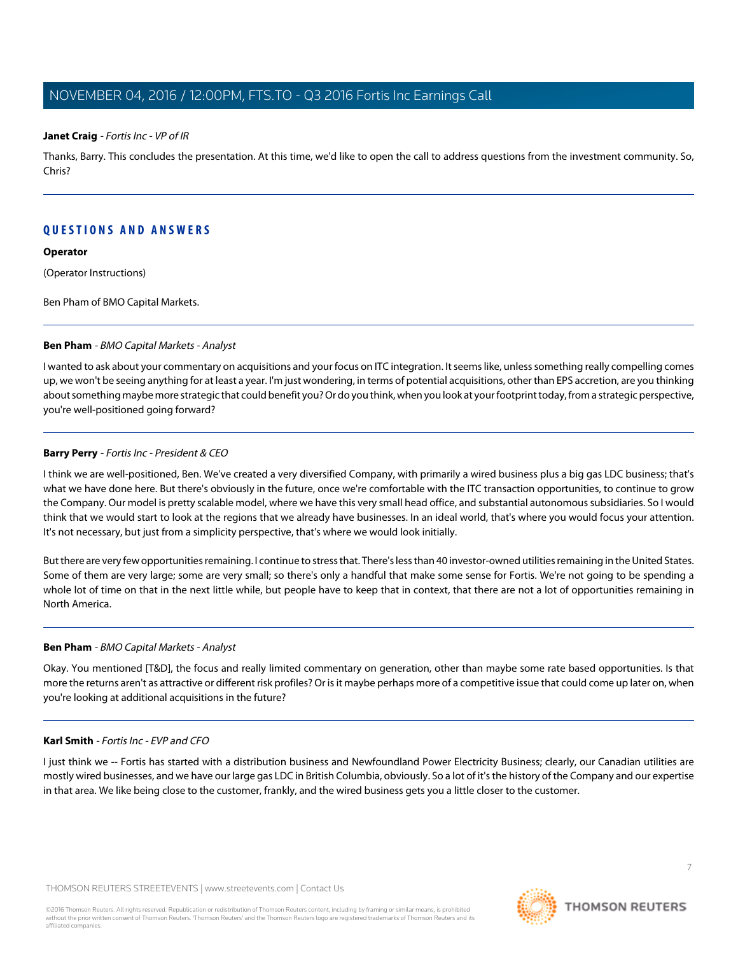#### **Janet Craig** - Fortis Inc - VP of IR

Thanks, Barry. This concludes the presentation. At this time, we'd like to open the call to address questions from the investment community. So, Chris?

#### **QUESTIONS AND ANSWERS**

#### **Operator**

(Operator Instructions)

<span id="page-6-0"></span>Ben Pham of BMO Capital Markets.

#### **Ben Pham** - BMO Capital Markets - Analyst

I wanted to ask about your commentary on acquisitions and your focus on ITC integration. It seems like, unless something really compelling comes up, we won't be seeing anything for at least a year. I'm just wondering, in terms of potential acquisitions, other than EPS accretion, are you thinking about something maybe more strategic that could benefit you? Or do you think, when you look at your footprint today, from a strategic perspective, you're well-positioned going forward?

#### **Barry Perry** - Fortis Inc - President & CEO

I think we are well-positioned, Ben. We've created a very diversified Company, with primarily a wired business plus a big gas LDC business; that's what we have done here. But there's obviously in the future, once we're comfortable with the ITC transaction opportunities, to continue to grow the Company. Our model is pretty scalable model, where we have this very small head office, and substantial autonomous subsidiaries. So I would think that we would start to look at the regions that we already have businesses. In an ideal world, that's where you would focus your attention. It's not necessary, but just from a simplicity perspective, that's where we would look initially.

But there are very few opportunities remaining. I continue to stress that. There's less than 40 investor-owned utilities remaining in the United States. Some of them are very large; some are very small; so there's only a handful that make some sense for Fortis. We're not going to be spending a whole lot of time on that in the next little while, but people have to keep that in context, that there are not a lot of opportunities remaining in North America.

#### **Ben Pham** - BMO Capital Markets - Analyst

Okay. You mentioned [T&D], the focus and really limited commentary on generation, other than maybe some rate based opportunities. Is that more the returns aren't as attractive or different risk profiles? Or is it maybe perhaps more of a competitive issue that could come up later on, when you're looking at additional acquisitions in the future?

#### **Karl Smith** - Fortis Inc - EVP and CFO

I just think we -- Fortis has started with a distribution business and Newfoundland Power Electricity Business; clearly, our Canadian utilities are mostly wired businesses, and we have our large gas LDC in British Columbia, obviously. So a lot of it's the history of the Company and our expertise in that area. We like being close to the customer, frankly, and the wired business gets you a little closer to the customer.

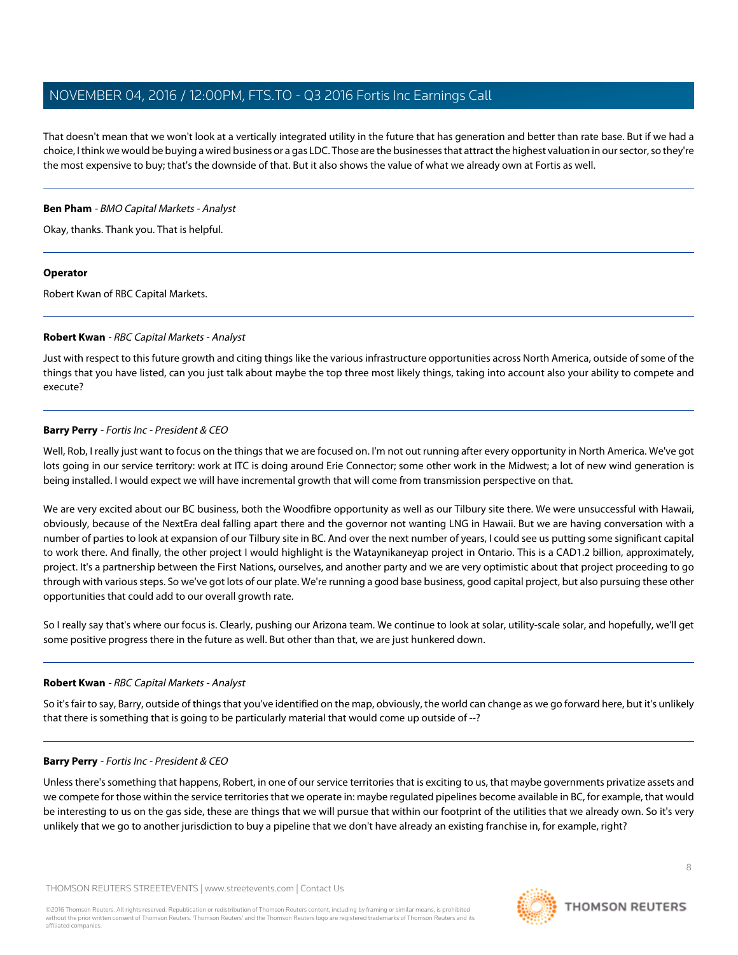That doesn't mean that we won't look at a vertically integrated utility in the future that has generation and better than rate base. But if we had a choice, I think we would be buying a wired business or a gas LDC. Those are the businesses that attract the highest valuation in our sector, so they're the most expensive to buy; that's the downside of that. But it also shows the value of what we already own at Fortis as well.

#### **Ben Pham** - BMO Capital Markets - Analyst

Okay, thanks. Thank you. That is helpful.

#### **Operator**

<span id="page-7-0"></span>Robert Kwan of RBC Capital Markets.

#### **Robert Kwan** - RBC Capital Markets - Analyst

Just with respect to this future growth and citing things like the various infrastructure opportunities across North America, outside of some of the things that you have listed, can you just talk about maybe the top three most likely things, taking into account also your ability to compete and execute?

#### **Barry Perry** - Fortis Inc - President & CEO

Well, Rob, I really just want to focus on the things that we are focused on. I'm not out running after every opportunity in North America. We've got lots going in our service territory: work at ITC is doing around Erie Connector; some other work in the Midwest; a lot of new wind generation is being installed. I would expect we will have incremental growth that will come from transmission perspective on that.

We are very excited about our BC business, both the Woodfibre opportunity as well as our Tilbury site there. We were unsuccessful with Hawaii, obviously, because of the NextEra deal falling apart there and the governor not wanting LNG in Hawaii. But we are having conversation with a number of parties to look at expansion of our Tilbury site in BC. And over the next number of years, I could see us putting some significant capital to work there. And finally, the other project I would highlight is the Wataynikaneyap project in Ontario. This is a CAD1.2 billion, approximately, project. It's a partnership between the First Nations, ourselves, and another party and we are very optimistic about that project proceeding to go through with various steps. So we've got lots of our plate. We're running a good base business, good capital project, but also pursuing these other opportunities that could add to our overall growth rate.

So I really say that's where our focus is. Clearly, pushing our Arizona team. We continue to look at solar, utility-scale solar, and hopefully, we'll get some positive progress there in the future as well. But other than that, we are just hunkered down.

#### **Robert Kwan** - RBC Capital Markets - Analyst

So it's fair to say, Barry, outside of things that you've identified on the map, obviously, the world can change as we go forward here, but it's unlikely that there is something that is going to be particularly material that would come up outside of --?

#### **Barry Perry** - Fortis Inc - President & CEO

Unless there's something that happens, Robert, in one of our service territories that is exciting to us, that maybe governments privatize assets and we compete for those within the service territories that we operate in: maybe regulated pipelines become available in BC, for example, that would be interesting to us on the gas side, these are things that we will pursue that within our footprint of the utilities that we already own. So it's very unlikely that we go to another jurisdiction to buy a pipeline that we don't have already an existing franchise in, for example, right?

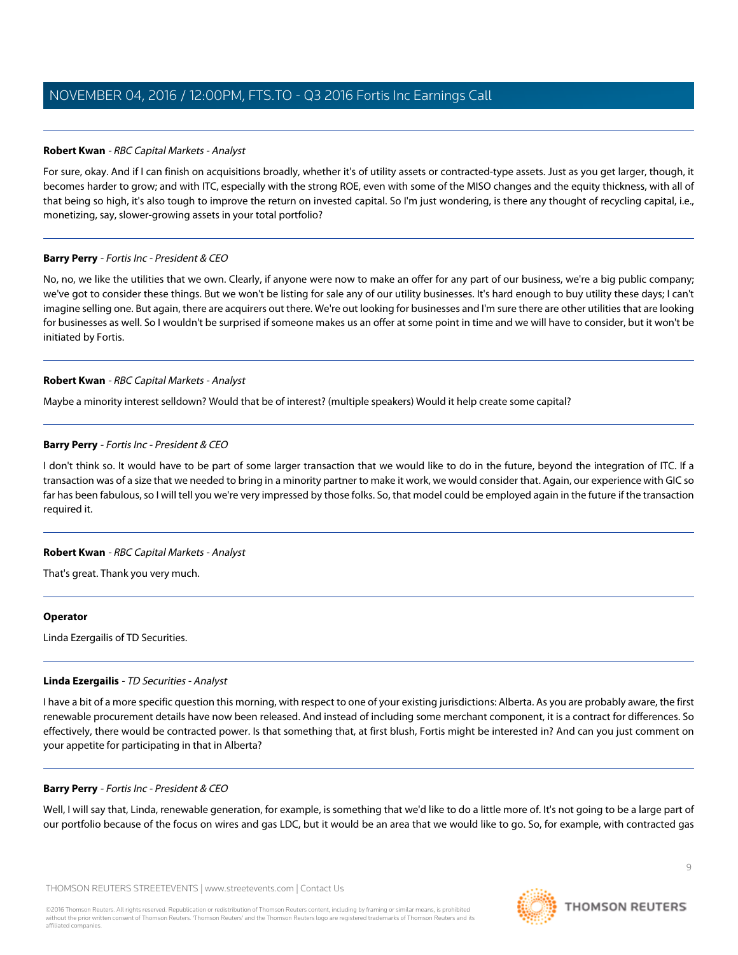#### **Robert Kwan** - RBC Capital Markets - Analyst

For sure, okay. And if I can finish on acquisitions broadly, whether it's of utility assets or contracted-type assets. Just as you get larger, though, it becomes harder to grow; and with ITC, especially with the strong ROE, even with some of the MISO changes and the equity thickness, with all of that being so high, it's also tough to improve the return on invested capital. So I'm just wondering, is there any thought of recycling capital, i.e., monetizing, say, slower-growing assets in your total portfolio?

#### **Barry Perry** - Fortis Inc - President & CEO

No, no, we like the utilities that we own. Clearly, if anyone were now to make an offer for any part of our business, we're a big public company; we've got to consider these things. But we won't be listing for sale any of our utility businesses. It's hard enough to buy utility these days; I can't imagine selling one. But again, there are acquirers out there. We're out looking for businesses and I'm sure there are other utilities that are looking for businesses as well. So I wouldn't be surprised if someone makes us an offer at some point in time and we will have to consider, but it won't be initiated by Fortis.

#### **Robert Kwan** - RBC Capital Markets - Analyst

Maybe a minority interest selldown? Would that be of interest? (multiple speakers) Would it help create some capital?

#### **Barry Perry** - Fortis Inc - President & CEO

I don't think so. It would have to be part of some larger transaction that we would like to do in the future, beyond the integration of ITC. If a transaction was of a size that we needed to bring in a minority partner to make it work, we would consider that. Again, our experience with GIC so far has been fabulous, so I will tell you we're very impressed by those folks. So, that model could be employed again in the future if the transaction required it.

#### **Robert Kwan** - RBC Capital Markets - Analyst

That's great. Thank you very much.

#### <span id="page-8-0"></span>**Operator**

Linda Ezergailis of TD Securities.

#### **Linda Ezergailis** - TD Securities - Analyst

I have a bit of a more specific question this morning, with respect to one of your existing jurisdictions: Alberta. As you are probably aware, the first renewable procurement details have now been released. And instead of including some merchant component, it is a contract for differences. So effectively, there would be contracted power. Is that something that, at first blush, Fortis might be interested in? And can you just comment on your appetite for participating in that in Alberta?

#### **Barry Perry** - Fortis Inc - President & CEO

Well, I will say that, Linda, renewable generation, for example, is something that we'd like to do a little more of. It's not going to be a large part of our portfolio because of the focus on wires and gas LDC, but it would be an area that we would like to go. So, for example, with contracted gas

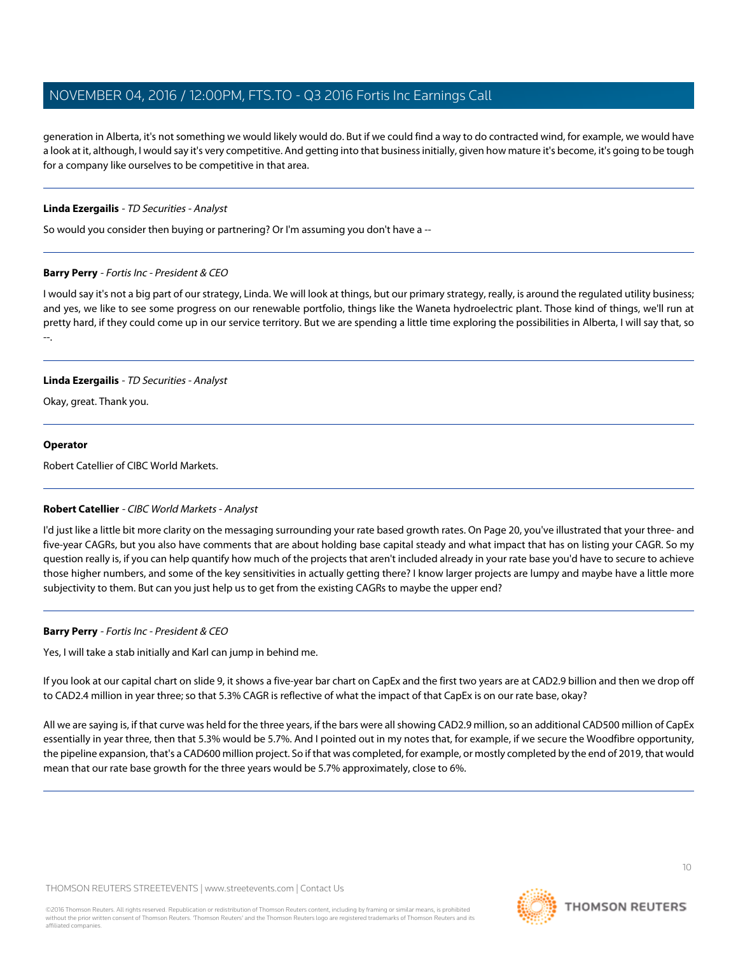generation in Alberta, it's not something we would likely would do. But if we could find a way to do contracted wind, for example, we would have a look at it, although, I would say it's very competitive. And getting into that business initially, given how mature it's become, it's going to be tough for a company like ourselves to be competitive in that area.

#### **Linda Ezergailis** - TD Securities - Analyst

So would you consider then buying or partnering? Or I'm assuming you don't have a --

#### **Barry Perry** - Fortis Inc - President & CEO

I would say it's not a big part of our strategy, Linda. We will look at things, but our primary strategy, really, is around the regulated utility business; and yes, we like to see some progress on our renewable portfolio, things like the Waneta hydroelectric plant. Those kind of things, we'll run at pretty hard, if they could come up in our service territory. But we are spending a little time exploring the possibilities in Alberta, I will say that, so --.

#### **Linda Ezergailis** - TD Securities - Analyst

Okay, great. Thank you.

#### **Operator**

<span id="page-9-0"></span>Robert Catellier of CIBC World Markets.

#### **Robert Catellier** - CIBC World Markets - Analyst

I'd just like a little bit more clarity on the messaging surrounding your rate based growth rates. On Page 20, you've illustrated that your three- and five-year CAGRs, but you also have comments that are about holding base capital steady and what impact that has on listing your CAGR. So my question really is, if you can help quantify how much of the projects that aren't included already in your rate base you'd have to secure to achieve those higher numbers, and some of the key sensitivities in actually getting there? I know larger projects are lumpy and maybe have a little more subjectivity to them. But can you just help us to get from the existing CAGRs to maybe the upper end?

#### **Barry Perry** - Fortis Inc - President & CEO

Yes, I will take a stab initially and Karl can jump in behind me.

If you look at our capital chart on slide 9, it shows a five-year bar chart on CapEx and the first two years are at CAD2.9 billion and then we drop off to CAD2.4 million in year three; so that 5.3% CAGR is reflective of what the impact of that CapEx is on our rate base, okay?

All we are saying is, if that curve was held for the three years, if the bars were all showing CAD2.9 million, so an additional CAD500 million of CapEx essentially in year three, then that 5.3% would be 5.7%. And I pointed out in my notes that, for example, if we secure the Woodfibre opportunity, the pipeline expansion, that's a CAD600 million project. So if that was completed, for example, or mostly completed by the end of 2019, that would mean that our rate base growth for the three years would be 5.7% approximately, close to 6%.

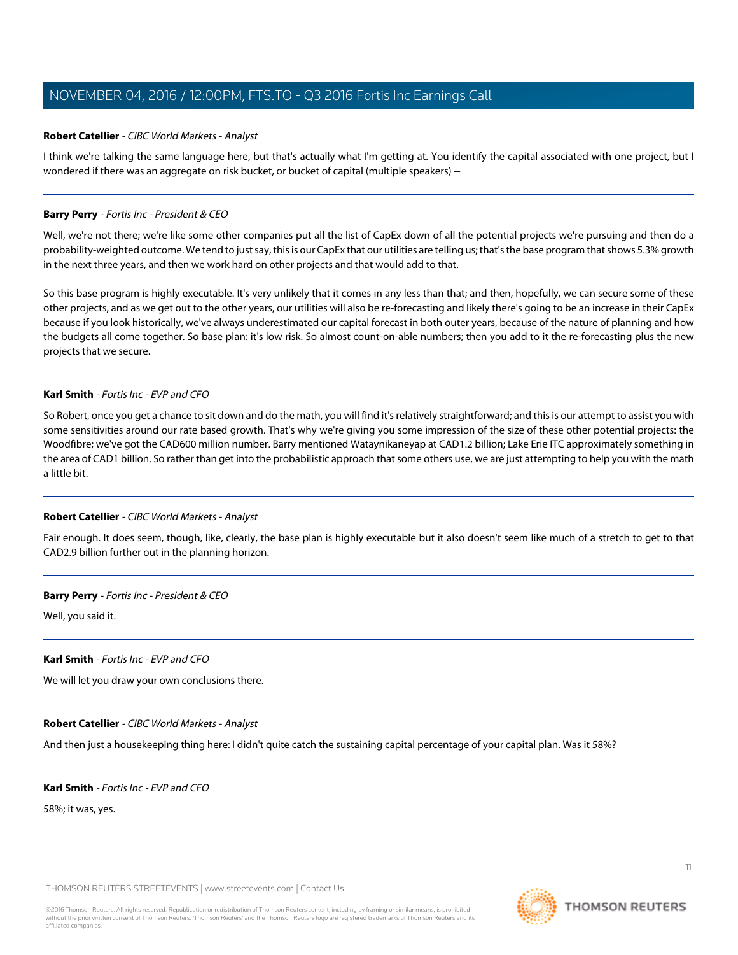#### **Robert Catellier** - CIBC World Markets - Analyst

I think we're talking the same language here, but that's actually what I'm getting at. You identify the capital associated with one project, but I wondered if there was an aggregate on risk bucket, or bucket of capital (multiple speakers) --

#### **Barry Perry** - Fortis Inc - President & CEO

Well, we're not there; we're like some other companies put all the list of CapEx down of all the potential projects we're pursuing and then do a probability-weighted outcome. We tend to just say, this is our CapEx that our utilities are telling us; that's the base program that shows 5.3% growth in the next three years, and then we work hard on other projects and that would add to that.

So this base program is highly executable. It's very unlikely that it comes in any less than that; and then, hopefully, we can secure some of these other projects, and as we get out to the other years, our utilities will also be re-forecasting and likely there's going to be an increase in their CapEx because if you look historically, we've always underestimated our capital forecast in both outer years, because of the nature of planning and how the budgets all come together. So base plan: it's low risk. So almost count-on-able numbers; then you add to it the re-forecasting plus the new projects that we secure.

#### **Karl Smith** - Fortis Inc - EVP and CFO

So Robert, once you get a chance to sit down and do the math, you will find it's relatively straightforward; and this is our attempt to assist you with some sensitivities around our rate based growth. That's why we're giving you some impression of the size of these other potential projects: the Woodfibre; we've got the CAD600 million number. Barry mentioned Wataynikaneyap at CAD1.2 billion; Lake Erie ITC approximately something in the area of CAD1 billion. So rather than get into the probabilistic approach that some others use, we are just attempting to help you with the math a little bit.

#### **Robert Catellier** - CIBC World Markets - Analyst

Fair enough. It does seem, though, like, clearly, the base plan is highly executable but it also doesn't seem like much of a stretch to get to that CAD2.9 billion further out in the planning horizon.

#### **Barry Perry** - Fortis Inc - President & CEO

Well, you said it.

#### **Karl Smith** - Fortis Inc - EVP and CFO

We will let you draw your own conclusions there.

#### **Robert Catellier** - CIBC World Markets - Analyst

And then just a housekeeping thing here: I didn't quite catch the sustaining capital percentage of your capital plan. Was it 58%?

#### **Karl Smith** - Fortis Inc - EVP and CFO

58%; it was, yes.

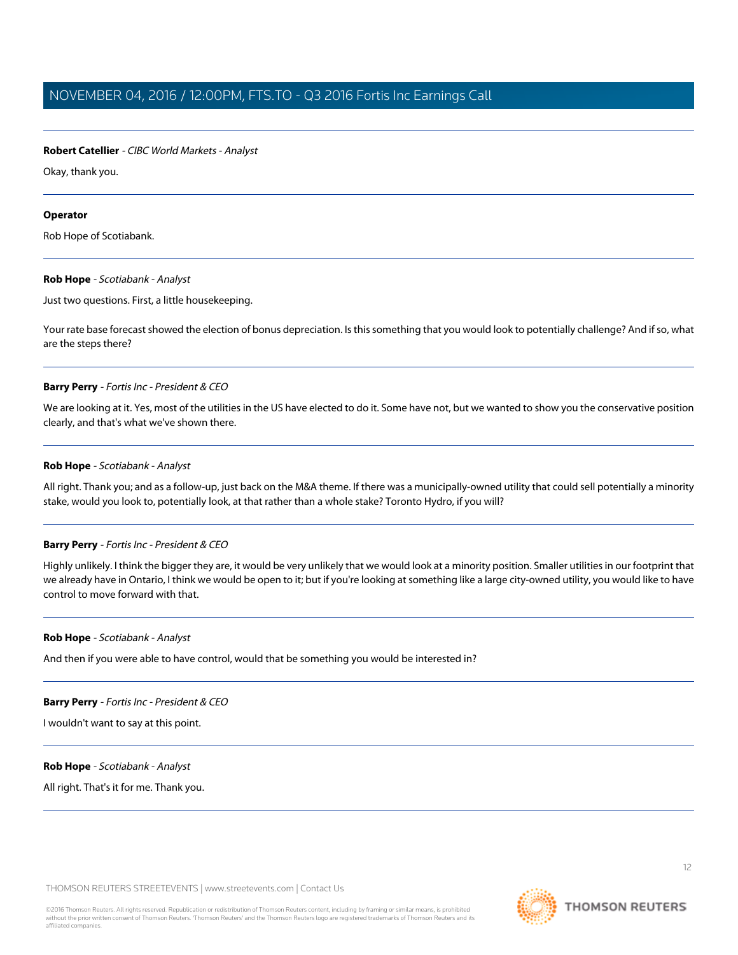#### **Robert Catellier** - CIBC World Markets - Analyst

Okay, thank you.

#### **Operator**

<span id="page-11-0"></span>Rob Hope of Scotiabank.

#### **Rob Hope** - Scotiabank - Analyst

Just two questions. First, a little housekeeping.

Your rate base forecast showed the election of bonus depreciation. Is this something that you would look to potentially challenge? And if so, what are the steps there?

#### **Barry Perry** - Fortis Inc - President & CEO

We are looking at it. Yes, most of the utilities in the US have elected to do it. Some have not, but we wanted to show you the conservative position clearly, and that's what we've shown there.

#### **Rob Hope** - Scotiabank - Analyst

All right. Thank you; and as a follow-up, just back on the M&A theme. If there was a municipally-owned utility that could sell potentially a minority stake, would you look to, potentially look, at that rather than a whole stake? Toronto Hydro, if you will?

#### **Barry Perry** - Fortis Inc - President & CEO

Highly unlikely. I think the bigger they are, it would be very unlikely that we would look at a minority position. Smaller utilities in our footprint that we already have in Ontario, I think we would be open to it; but if you're looking at something like a large city-owned utility, you would like to have control to move forward with that.

#### **Rob Hope** - Scotiabank - Analyst

And then if you were able to have control, would that be something you would be interested in?

#### **Barry Perry** - Fortis Inc - President & CEO

I wouldn't want to say at this point.

#### **Rob Hope** - Scotiabank - Analyst

All right. That's it for me. Thank you.

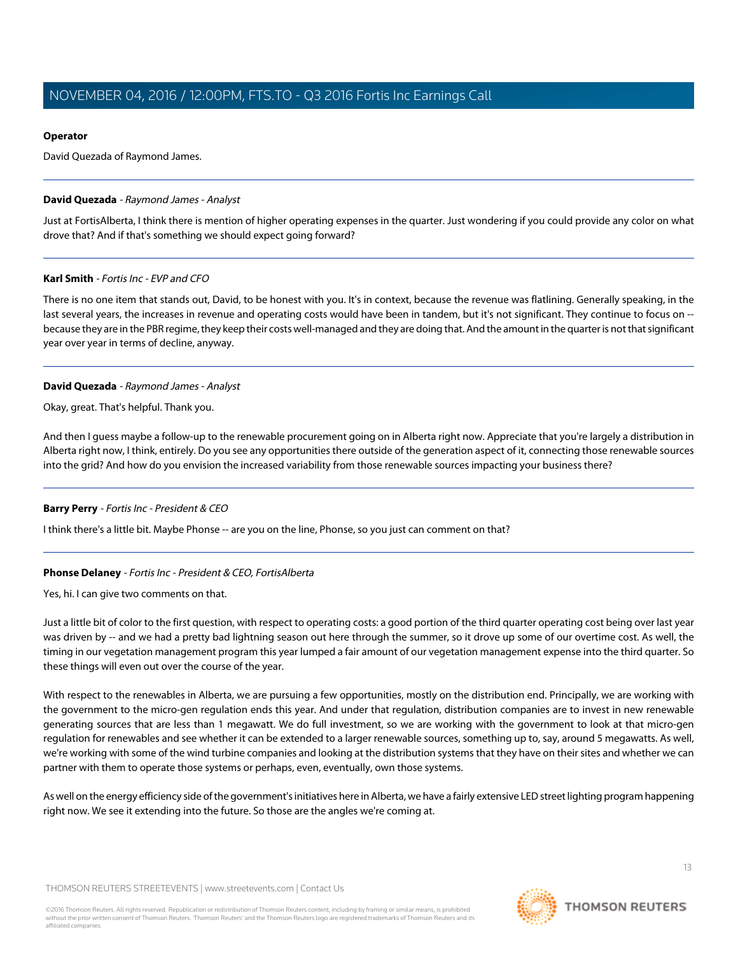#### **Operator**

David Quezada of Raymond James.

#### <span id="page-12-1"></span>**David Quezada** - Raymond James - Analyst

Just at FortisAlberta, I think there is mention of higher operating expenses in the quarter. Just wondering if you could provide any color on what drove that? And if that's something we should expect going forward?

#### **Karl Smith** - Fortis Inc - EVP and CFO

There is no one item that stands out, David, to be honest with you. It's in context, because the revenue was flatlining. Generally speaking, in the last several years, the increases in revenue and operating costs would have been in tandem, but it's not significant. They continue to focus on -because they are in the PBR regime, they keep their costs well-managed and they are doing that. And the amount in the quarter is not that significant year over year in terms of decline, anyway.

#### **David Quezada** - Raymond James - Analyst

Okay, great. That's helpful. Thank you.

And then I guess maybe a follow-up to the renewable procurement going on in Alberta right now. Appreciate that you're largely a distribution in Alberta right now, I think, entirely. Do you see any opportunities there outside of the generation aspect of it, connecting those renewable sources into the grid? And how do you envision the increased variability from those renewable sources impacting your business there?

#### <span id="page-12-0"></span>**Barry Perry** - Fortis Inc - President & CEO

I think there's a little bit. Maybe Phonse -- are you on the line, Phonse, so you just can comment on that?

## **Phonse Delaney** - Fortis Inc - President & CEO, FortisAlberta

Yes, hi. I can give two comments on that.

Just a little bit of color to the first question, with respect to operating costs: a good portion of the third quarter operating cost being over last year was driven by -- and we had a pretty bad lightning season out here through the summer, so it drove up some of our overtime cost. As well, the timing in our vegetation management program this year lumped a fair amount of our vegetation management expense into the third quarter. So these things will even out over the course of the year.

With respect to the renewables in Alberta, we are pursuing a few opportunities, mostly on the distribution end. Principally, we are working with the government to the micro-gen regulation ends this year. And under that regulation, distribution companies are to invest in new renewable generating sources that are less than 1 megawatt. We do full investment, so we are working with the government to look at that micro-gen regulation for renewables and see whether it can be extended to a larger renewable sources, something up to, say, around 5 megawatts. As well, we're working with some of the wind turbine companies and looking at the distribution systems that they have on their sites and whether we can partner with them to operate those systems or perhaps, even, eventually, own those systems.

As well on the energy efficiency side of the government's initiatives here in Alberta, we have a fairly extensive LED street lighting program happening right now. We see it extending into the future. So those are the angles we're coming at.

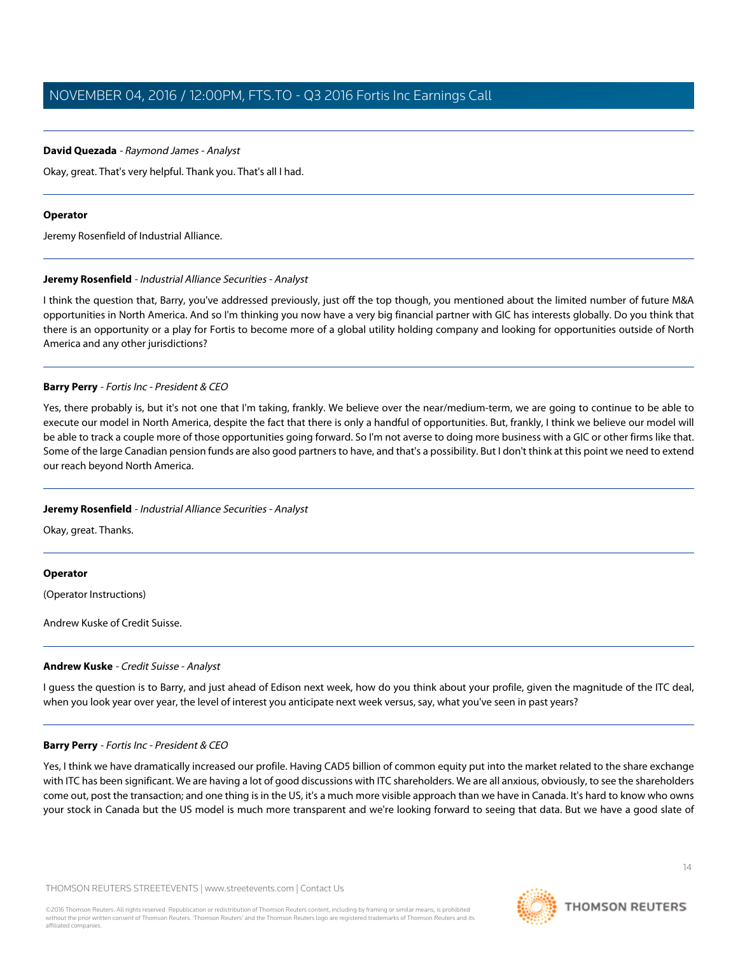#### **David Quezada** - Raymond James - Analyst

Okay, great. That's very helpful. Thank you. That's all I had.

#### **Operator**

<span id="page-13-0"></span>Jeremy Rosenfield of Industrial Alliance.

#### **Jeremy Rosenfield** - Industrial Alliance Securities - Analyst

I think the question that, Barry, you've addressed previously, just off the top though, you mentioned about the limited number of future M&A opportunities in North America. And so I'm thinking you now have a very big financial partner with GIC has interests globally. Do you think that there is an opportunity or a play for Fortis to become more of a global utility holding company and looking for opportunities outside of North America and any other jurisdictions?

#### **Barry Perry** - Fortis Inc - President & CEO

Yes, there probably is, but it's not one that I'm taking, frankly. We believe over the near/medium-term, we are going to continue to be able to execute our model in North America, despite the fact that there is only a handful of opportunities. But, frankly, I think we believe our model will be able to track a couple more of those opportunities going forward. So I'm not averse to doing more business with a GIC or other firms like that. Some of the large Canadian pension funds are also good partners to have, and that's a possibility. But I don't think at this point we need to extend our reach beyond North America.

#### **Jeremy Rosenfield** - Industrial Alliance Securities - Analyst

Okay, great. Thanks.

#### **Operator**

<span id="page-13-1"></span>(Operator Instructions)

Andrew Kuske of Credit Suisse.

#### **Andrew Kuske** - Credit Suisse - Analyst

I guess the question is to Barry, and just ahead of Edison next week, how do you think about your profile, given the magnitude of the ITC deal, when you look year over year, the level of interest you anticipate next week versus, say, what you've seen in past years?

#### **Barry Perry** - Fortis Inc - President & CEO

Yes, I think we have dramatically increased our profile. Having CAD5 billion of common equity put into the market related to the share exchange with ITC has been significant. We are having a lot of good discussions with ITC shareholders. We are all anxious, obviously, to see the shareholders come out, post the transaction; and one thing is in the US, it's a much more visible approach than we have in Canada. It's hard to know who owns your stock in Canada but the US model is much more transparent and we're looking forward to seeing that data. But we have a good slate of

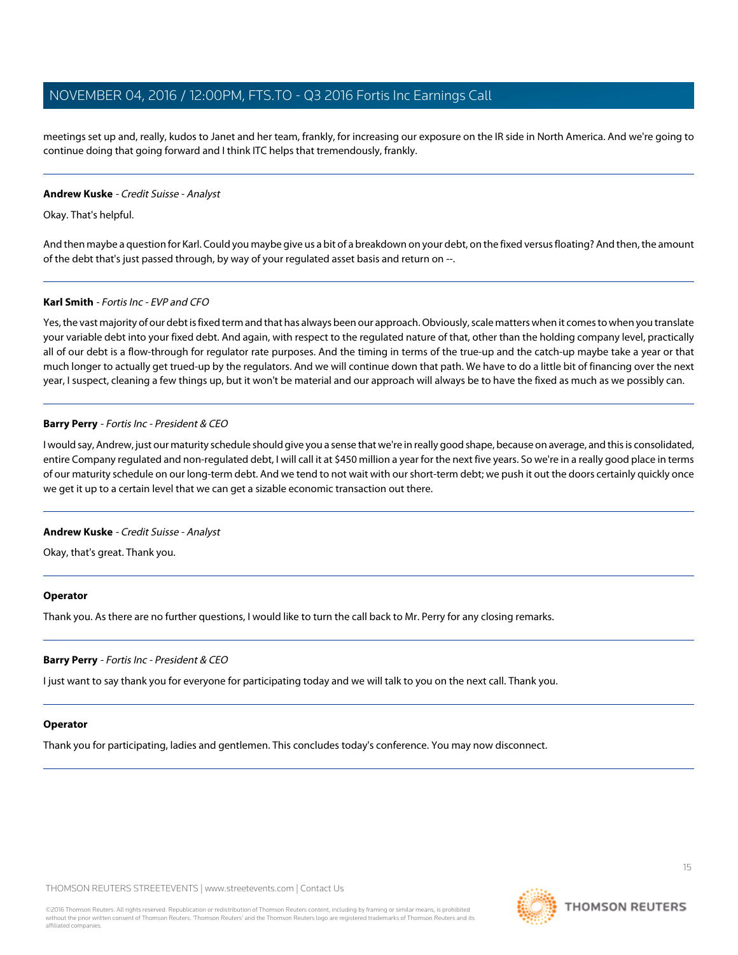meetings set up and, really, kudos to Janet and her team, frankly, for increasing our exposure on the IR side in North America. And we're going to continue doing that going forward and I think ITC helps that tremendously, frankly.

#### **Andrew Kuske** - Credit Suisse - Analyst

Okay. That's helpful.

And then maybe a question for Karl. Could you maybe give us a bit of a breakdown on your debt, on the fixed versus floating? And then, the amount of the debt that's just passed through, by way of your regulated asset basis and return on --.

#### **Karl Smith** - Fortis Inc - EVP and CFO

Yes, the vast majority of our debt is fixed term and that has always been our approach. Obviously, scale matters when it comes to when you translate your variable debt into your fixed debt. And again, with respect to the regulated nature of that, other than the holding company level, practically all of our debt is a flow-through for regulator rate purposes. And the timing in terms of the true-up and the catch-up maybe take a year or that much longer to actually get trued-up by the regulators. And we will continue down that path. We have to do a little bit of financing over the next year, I suspect, cleaning a few things up, but it won't be material and our approach will always be to have the fixed as much as we possibly can.

#### **Barry Perry** - Fortis Inc - President & CEO

I would say, Andrew, just our maturity schedule should give you a sense that we're in really good shape, because on average, and this is consolidated, entire Company regulated and non-regulated debt, I will call it at \$450 million a year for the next five years. So we're in a really good place in terms of our maturity schedule on our long-term debt. And we tend to not wait with our short-term debt; we push it out the doors certainly quickly once we get it up to a certain level that we can get a sizable economic transaction out there.

#### **Andrew Kuske** - Credit Suisse - Analyst

Okay, that's great. Thank you.

#### **Operator**

Thank you. As there are no further questions, I would like to turn the call back to Mr. Perry for any closing remarks.

#### **Barry Perry** - Fortis Inc - President & CEO

I just want to say thank you for everyone for participating today and we will talk to you on the next call. Thank you.

#### **Operator**

Thank you for participating, ladies and gentlemen. This concludes today's conference. You may now disconnect.